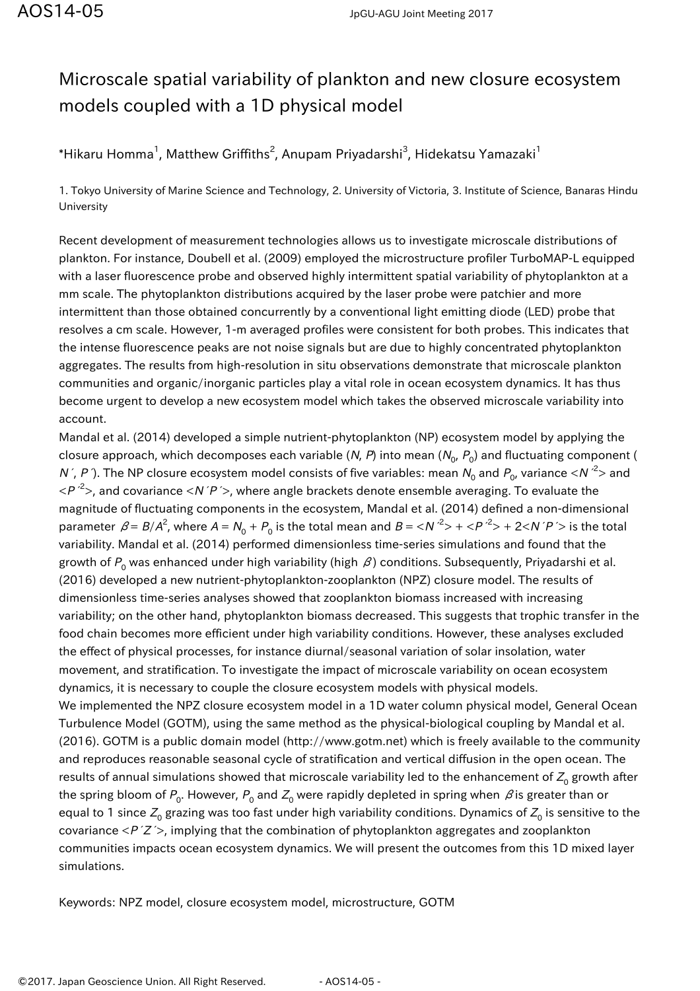## Microscale spatial variability of plankton and new closure ecosystem models coupled with a 1D physical model

 $^\ast$ Hikaru Homma $^1$ , Matthew Griffiths $^2$ , Anupam Priyadarshi $^3$ , Hidekatsu Yamazaki $^1$ 

1. Tokyo University of Marine Science and Technology, 2. University of Victoria, 3. Institute of Science, Banaras Hindu University

Recent development of measurement technologies allows us to investigate microscale distributions of plankton. For instance, Doubell et al. (2009) employed the microstructure profiler TurboMAP-L equipped with a laser fluorescence probe and observed highly intermittent spatial variability of phytoplankton at a mm scale. The phytoplankton distributions acquired by the laser probe were patchier and more intermittent than those obtained concurrently by a conventional light emitting diode (LED) probe that resolves a cm scale. However, 1-m averaged profiles were consistent for both probes. This indicates that the intense fluorescence peaks are not noise signals but are due to highly concentrated phytoplankton aggregates. The results from high-resolution in situ observations demonstrate that microscale plankton communities and organic/inorganic particles play a vital role in ocean ecosystem dynamics. It has thus become urgent to develop a new ecosystem model which takes the observed microscale variability into account.

Mandal et al. (2014) developed a simple nutrient-phytoplankton (NP) ecosystem model by applying the closure approach, which decomposes each variable (*N, P*) into mean ( $N_{_{\rm O}},$   $P_{_{\rm O}}$ ) and fluctuating component ( N´, P´). The NP closure ecosystem model consists of five variables: mean  $N_{_0}$  and  $P_{_0}$ , variance <N  $^2$ > and  $\langle P \rangle^2$ , and covariance  $\langle N \rangle^2$ , where angle brackets denote ensemble averaging. To evaluate the magnitude of fluctuating components in the ecosystem, Mandal et al. (2014) defined a non-dimensional parameter  $\beta = B/A^2$ , where  $A = N_0 + P_0$  is the total mean and  $B = \langle N'^2 \rangle + \langle P'^2 \rangle + 2 \langle N'P' \rangle$  is the total variability. Mandal et al. (2014) performed dimensionless time-series simulations and found that the growth of  $P_{\rm o}$  was enhanced under high variability (high  $\,\beta$ ) conditions. Subsequently, Priyadarshi et al. (2016) developed a new nutrient-phytoplankton-zooplankton (NPZ) closure model. The results of dimensionless time-series analyses showed that zooplankton biomass increased with increasing variability; on the other hand, phytoplankton biomass decreased. This suggests that trophic transfer in the food chain becomes more efficient under high variability conditions. However, these analyses excluded the effect of physical processes, for instance diurnal/seasonal variation of solar insolation, water movement, and stratification. To investigate the impact of microscale variability on ocean ecosystem dynamics, it is necessary to couple the closure ecosystem models with physical models. We implemented the NPZ closure ecosystem model in a 1D water column physical model, General Ocean Turbulence Model (GOTM), using the same method as the physical-biological coupling by Mandal et al. (2016). GOTM is a public domain model (http://www.gotm.net) which is freely available to the community and reproduces reasonable seasonal cycle of stratification and vertical diffusion in the open ocean. The results of annual simulations showed that microscale variability led to the enhancement of  $Z_{\rm o}$  growth after the spring bloom of  $P^{}_0$ . However,  $P^{}_0$  and  $Z^{}_0$  were rapidly depleted in spring when  $\,\beta$  is greater than or equal to 1 since  $Z_0$  grazing was too fast under high variability conditions. Dynamics of  $Z_0$  is sensitive to the covariance  $\langle P'Z' \rangle$ , implying that the combination of phytoplankton aggregates and zooplankton communities impacts ocean ecosystem dynamics. We will present the outcomes from this 1D mixed layer simulations.

Keywords: NPZ model, closure ecosystem model, microstructure, GOTM